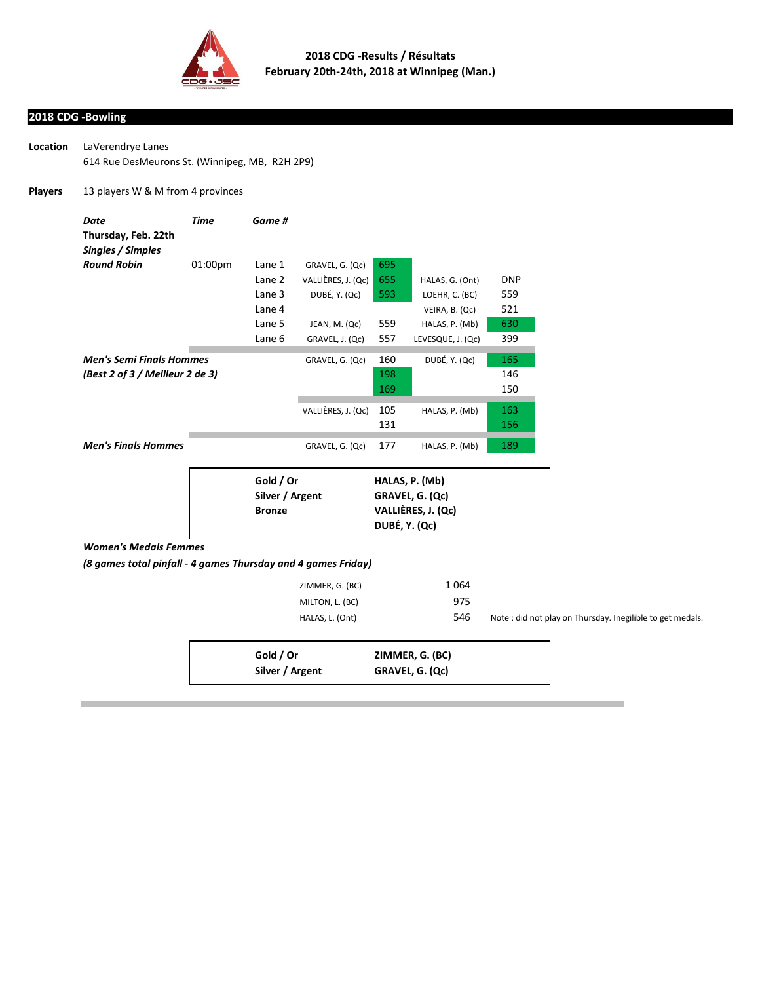

## **2018 CDG -Bowling**

| Location | LaVerendrye Lanes                              |  |
|----------|------------------------------------------------|--|
|          | 614 Rue DesMeurons St. (Winnipeg, MB, R2H 2P9) |  |

## **Players** 13 players W & M from 4 provinces

| Date                            | Time    | Game #          |                    |                 |                    |            |
|---------------------------------|---------|-----------------|--------------------|-----------------|--------------------|------------|
| Thursday, Feb. 22th             |         |                 |                    |                 |                    |            |
| Singles / Simples               |         |                 |                    |                 |                    |            |
| <b>Round Robin</b>              | 01:00pm | Lane 1          | GRAVEL, G. (Qc)    | 695             |                    |            |
|                                 |         | Lane 2          | VALLIÈRES, J. (Qc) | 655             | HALAS, G. (Ont)    | <b>DNP</b> |
|                                 |         | Lane 3          | DUBÉ, Y. (Qc)      | 593             | LOEHR, C. (BC)     | 559        |
|                                 |         | Lane 4          |                    |                 | VEIRA, B. (Qc)     | 521        |
|                                 |         | Lane 5          | JEAN, M. (Qc)      | 559             | HALAS, P. (Mb)     | 630        |
|                                 |         | Lane 6          | GRAVEL, J. (Qc)    | 557             | LEVESQUE, J. (Qc)  | 399        |
| <b>Men's Semi Finals Hommes</b> |         |                 | GRAVEL, G. (Qc)    | 160             | DUBÉ, Y. (Qc)      | 165        |
| (Best 2 of 3 / Meilleur 2 de 3) |         |                 |                    | 198             |                    | 146        |
|                                 |         |                 |                    | 169             |                    | 150        |
|                                 |         |                 |                    |                 |                    |            |
|                                 |         |                 | VALLIÈRES, J. (Qc) | 105             | HALAS, P. (Mb)     | 163        |
|                                 |         |                 |                    | 131             |                    | 156        |
| <b>Men's Finals Hommes</b>      |         |                 | GRAVEL, G. (Qc)    | 177             | HALAS, P. (Mb)     | 189        |
|                                 |         | Gold / Or       |                    | HALAS, P. (Mb)  |                    |            |
|                                 |         | Silver / Argent |                    | GRAVEL, G. (Qc) |                    |            |
|                                 |         | <b>Bronze</b>   |                    |                 | VALLIÈRES, J. (Qc) |            |

*Women's Medals Femmes*

*(8 games total pinfall - 4 games Thursday and 4 games Friday)*

| ZIMMER, G. (BC) | 1064 |
|-----------------|------|
| MILTON, L. (BC) | 975  |
| HALAS, L. (Ont) | 546  |

**DUBÉ, Y. (Qc)**

Note : did not play on Thursday. Inegilible to get medals.

| Gold / Or       | ZIMMER, G. (BC) |
|-----------------|-----------------|
| Silver / Argent | GRAVEL, G. (Qc) |